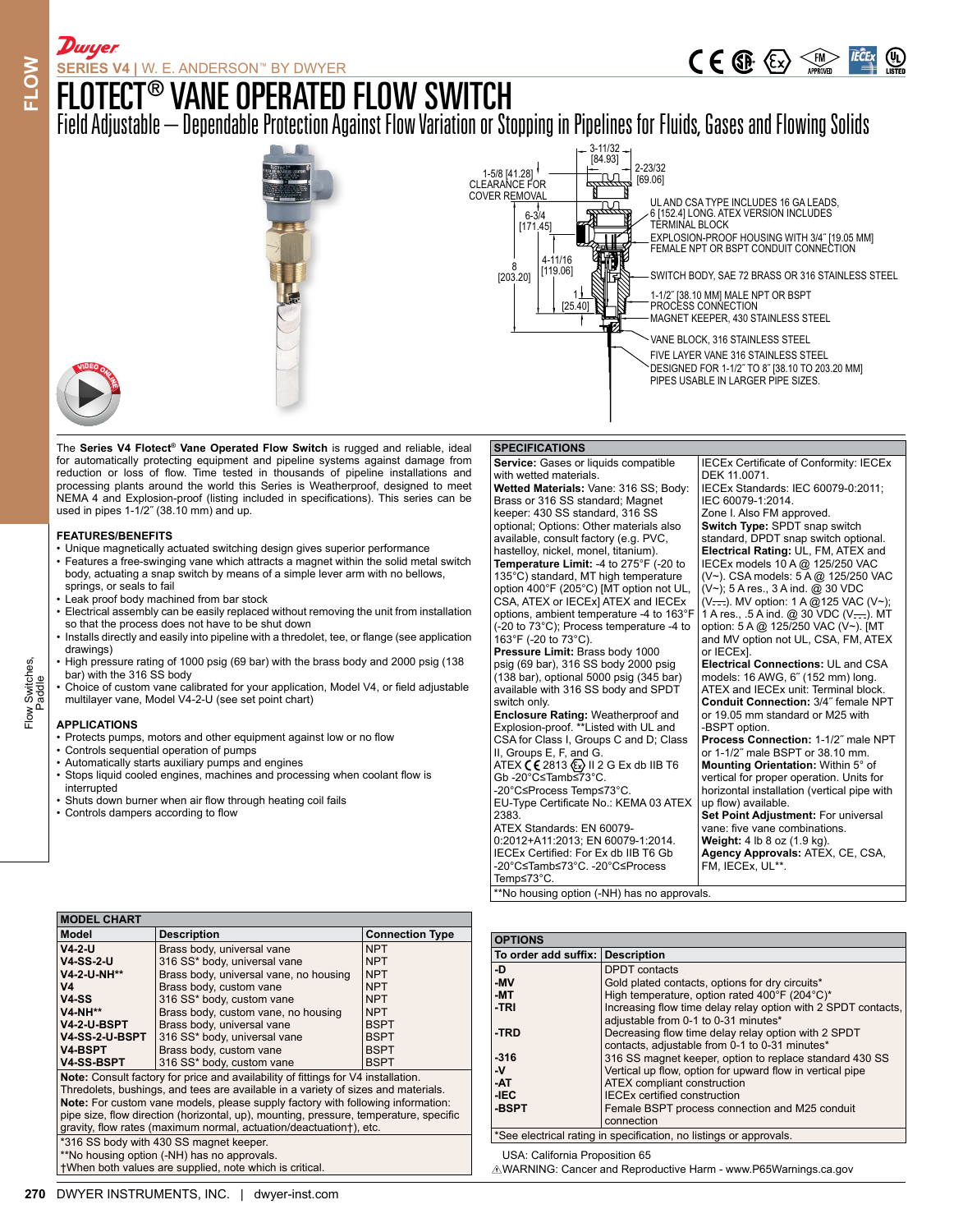$C \in \mathbb{G}$   $\overline{\mathbb{G}}$   $\overline{\mathbb{G}}$   $\overline{\mathbb{G}}$   $\overline{\mathbb{G}}$   $\overline{\mathbb{G}}$   $\overline{\mathbb{G}}$   $\overline{\mathbb{G}}$   $\overline{\mathbb{G}}$   $\overline{\mathbb{G}}$   $\overline{\mathbb{G}}$   $\overline{\mathbb{G}}$   $\overline{\mathbb{G}}$   $\overline{\mathbb{G}}$   $\overline{\mathbb{G}}$   $\overline{\mathbb{G}}$   $\overline{\mathbb{G}}$   $\overline{\mathbb{G}}$   $\overline{\$ 

## FLOTECT® VANE OPERATED FLOW SWITCH

Field Adjustable – Dependable Protection Against Flow Variation or Stopping in Pipelines for Fluids, Gases and Flowing Solids



The **Series V4 Flotect® Vane Operated Flow Switch** is rugged and reliable, ideal for automatically protecting equipment and pipeline systems against damage from reduction or loss of flow. Time tested in thousands of pipeline installations and processing plants around the world this Series is Weatherproof, designed to meet NEMA 4 and Explosion-proof (listing included in specifications). This series can be used in pipes 1-1/2˝ (38.10 mm) and up.

#### **FEATURES/BENEFITS**

- Unique magnetically actuated switching design gives superior performance • Features a free-swinging vane which attracts a magnet within the solid metal switch body, actuating a snap switch by means of a simple lever arm with no bellows, springs, or seals to fail
- Leak proof body machined from bar stock
- Electrical assembly can be easily replaced without removing the unit from installation so that the process does not have to be shut down
- Installs directly and easily into pipeline with a thredolet, tee, or flange (see application drawings) • High pressure rating of 1000 psig (69 bar) with the brass body and 2000 psig (138
- bar) with the 316 SS body
- Choice of custom vane calibrated for your application, Model V4, or field adjustable multilayer vane, Model V4-2-U (see set point chart)

#### **APPLICATIONS**

- Protects pumps, motors and other equipment against low or no flow
- Controls sequential operation of pumps
- Automatically starts auxiliary pumps and engines
- Stops liquid cooled engines, machines and processing when coolant flow is interrupted
- Shuts down burner when air flow through heating coil fails
- Controls dampers according to flow

## **SPECIFICATIONS**

**Service:** Gases or liquids compatible with wetted materials. **Wetted Materials:** Vane: 316 SS; Body: Brass or 316 SS standard; Magnet keeper: 430 SS standard, 316 SS optional; Options: Other materials also available, consult factory (e.g. PVC, hastelloy, nickel, monel, titanium). **Temperature Limit:** -4 to 275°F (-20 to 135°C) standard, MT high temperature option 400°F (205°C) [MT option not UL, CSA, ATEX or IECEx] ATEX and IECEx options, ambient temperature -4 to 163°F (-20 to 73°C); Process temperature -4 to 163°F (-20 to 73°C). **Pressure Limit:** Brass body 1000 psig (69 bar), 316 SS body 2000 psig (138 bar), optional 5000 psig (345 bar) available with 316 SS body and SPDT switch only. **Enclosure Rating:** Weatherproof and Explosion-proof. \*\*Listed with UL and CSA for Class I, Groups C and D; Class II, Groups E, F, and G. ATEX **( €** 2813 & ) II 2 G Ex db IIB T6<br>Gb -20°C≤Tamb≤73°C. -20°C≤Process Temp≤73°C. EU-Type Certificate No.: KEMA 03 ATEX 2383. ATEX Standards: EN 60079- 0:2012+A11:2013; EN 60079-1:2014. IECEx Certified: For Ex db IIB T6 Gb -20°C≤Tamb≤73°C. -20°C≤Process Temp≤73°C.

\*No housing option (-NH) has no approvals.

IECEx Certificate of Conformity: IECEx DEK 11.0071. IECEx Standards: IEC 60079-0:2011; IEC 60079-1:2014. Zone I. Also FM approved. **Switch Type:** SPDT snap switch standard, DPDT snap switch optional. **Electrical Rating:** UL, FM, ATEX and IECEx models 10 A @ 125/250 VAC (V~). CSA models: 5 A @ 125/250 VAC (V~); 5 A res., 3 A ind. @ 30 VDC  $(V \rightarrow$ . MV option: 1 A  $@125$  VAC (V~); 1 A res., .5 A ind. @ 30 VDC (V===). MT option: 5 A @ 125/250 VAC (V~). [MT and MV option not UL, CSA, FM, ATEX or IECEx]. **Electrical Connections:** UL and CSA models: 16 AWG, 6˝ (152 mm) long. ATEX and IECEx unit: Terminal block. **Conduit Connection:** 3/4˝ female NPT or 19.05 mm standard or M25 with -BSPT option. **Process Connection:** 1-1/2˝ male NPT or 1-1/2˝ male BSPT or 38.10 mm. **Mounting Orientation:** Within 5° of vertical for proper operation. Units for horizontal installation (vertical pipe with up flow) available. **Set Point Adjustment:** For universal vane: five vane combinations. **Weight:** 4 lb 8 oz (1.9 kg). **Agency Approvals:** ATEX, CE, CSA, FM, IECEx, UL\*\*.

**270** Detail of the same of the same of the same of the same of the same of the same of the same of the same of the same of the same of the same of the same of the same of the same of the same of the same of the same of th **MODEL CHART Modell Description Connection Type V4-2-U V4-SS-2-U V4-2-U-NH\*\* V4 V4-SS V4-NH\*\* V4-2-U-BSPT V4-SS-2-U-BSPT V4-BSPT V4-SS-BSPT** Brass body, universal vane 316 SS\* body, universal vane Brass body, universal vane, no housing Brass body, custom vane 316 SS\* body, custom vane Brass body, custom vane, no housing Brass body, universal vane 316 SS\* body, universal vane Brass body, custom vane 316 SS\* body, custom vane NPT NPT NPT NPT NPT NPT BSPT **BSPT BSPT** BSPT **Note:** Consult factory for price and availability of fittings for V4 installation. Thredolets, bushings, and tees are available in a variety of sizes and materials. **Note:** For custom vane models, please supply factory with following information: pipe size, flow direction (horizontal, up), mounting, pressure, temperature, specific gravity, flow rates (maximum normal, actuation/deactuation†), etc. \*316 SS body with 430 SS magnet keeper. \*\*No housing option (-NH) has no approvals.

†When both values are supplied, note which is critical.

| <b>OPTIONS</b>                                                     |                                                               |  |  |  |  |
|--------------------------------------------------------------------|---------------------------------------------------------------|--|--|--|--|
| To order add suffix: Description                                   |                                                               |  |  |  |  |
| -D                                                                 | <b>DPDT</b> contacts                                          |  |  |  |  |
| -MV                                                                | Gold plated contacts, options for dry circuits*               |  |  |  |  |
| -MT                                                                | High temperature, option rated 400°F (204°C)*                 |  |  |  |  |
| -TRI                                                               | Increasing flow time delay relay option with 2 SPDT contacts, |  |  |  |  |
|                                                                    | adjustable from 0-1 to 0-31 minutes*                          |  |  |  |  |
| -TRD                                                               | Decreasing flow time delay relay option with 2 SPDT           |  |  |  |  |
|                                                                    | contacts, adjustable from 0-1 to 0-31 minutes*                |  |  |  |  |
| $-316$                                                             | 316 SS magnet keeper, option to replace standard 430 SS       |  |  |  |  |
| -V                                                                 | Vertical up flow, option for upward flow in vertical pipe     |  |  |  |  |
| -AT                                                                | <b>ATEX</b> compliant construction                            |  |  |  |  |
| -IEC                                                               | <b>IECEx certified construction</b>                           |  |  |  |  |
| -BSPT                                                              | Female BSPT process connection and M25 conduit                |  |  |  |  |
|                                                                    | connection                                                    |  |  |  |  |
| *See electrical rating in specification, no listings or approvals. |                                                               |  |  |  |  |
| $\overline{a}$                                                     |                                                               |  |  |  |  |

USA: California Proposition 65

WARNING: Cancer and Reproductive Harm - www.P65Warnings.ca.gov